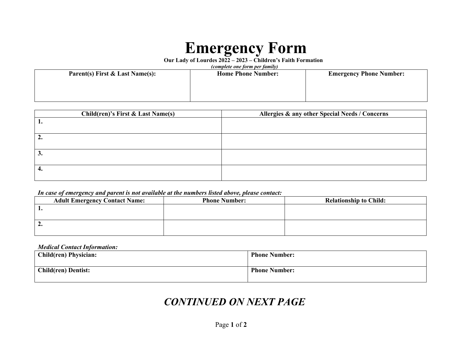# **Emergency Form**

**Our Lady of Lourdes 2022 – 2023 – Children's Faith Formation**

| (complete one form per family)  |                           |                                |  |  |  |
|---------------------------------|---------------------------|--------------------------------|--|--|--|
| Parent(s) First & Last Name(s): | <b>Home Phone Number:</b> | <b>Emergency Phone Number:</b> |  |  |  |
|                                 |                           |                                |  |  |  |
|                                 |                           |                                |  |  |  |
|                                 |                           |                                |  |  |  |
|                                 |                           |                                |  |  |  |

| <b>Child(ren)'s First &amp; Last Name(s)</b> | Allergies & any other Special Needs / Concerns |  |
|----------------------------------------------|------------------------------------------------|--|
|                                              |                                                |  |
| 2.                                           |                                                |  |
| 3.                                           |                                                |  |
|                                              |                                                |  |

#### *In case of emergency and parent is not available at the numbers listed above, please contact:*

| <b>Adult Emergency Contact Name:</b> | <b>Phone Number:</b> | <b>Relationship to Child:</b> |
|--------------------------------------|----------------------|-------------------------------|
|                                      |                      |                               |
|                                      |                      |                               |
| ہ سک                                 |                      |                               |
|                                      |                      |                               |

#### *Medical Contact Information:*

| <b>Child(ren) Physician:</b> | <b>Phone Number:</b> |
|------------------------------|----------------------|
|                              |                      |
| <b>Child(ren) Dentist:</b>   | <b>Phone Number:</b> |
|                              |                      |

## *CONTINUED ON NEXT PAGE*

Page **1** of **2**